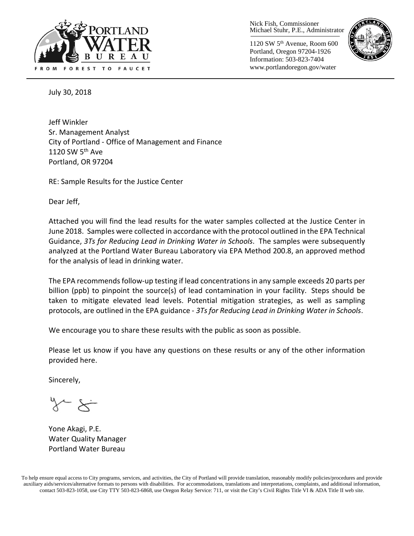

Nick Fish, Commissioner Michael Stuhr, P.E., Administrator

1120 SW 5th Avenue, Room 600 Portland, Oregon 97204-1926 Information: 503-823-7404 www.portlandoregon.gov/water



July 30, 2018

Jeff Winkler Sr. Management Analyst City of Portland - Office of Management and Finance 1120 SW 5<sup>th</sup> Ave Portland, OR 97204

RE: Sample Results for the Justice Center

Dear Jeff,

Attached you will find the lead results for the water samples collected at the Justice Center in June 2018. Samples were collected in accordance with the protocol outlined in the EPA Technical Guidance, *3Ts for Reducing Lead in Drinking Water in Schools*. The samples were subsequently analyzed at the Portland Water Bureau Laboratory via EPA Method 200.8, an approved method for the analysis of lead in drinking water.

The EPA recommends follow-up testing if lead concentrations in any sample exceeds 20 parts per billion (ppb) to pinpoint the source(s) of lead contamination in your facility. Steps should be taken to mitigate elevated lead levels. Potential mitigation strategies, as well as sampling protocols, are outlined in the EPA guidance - *3Ts for Reducing Lead in Drinking Water in Schools*.

We encourage you to share these results with the public as soon as possible.

Please let us know if you have any questions on these results or any of the other information provided here.

Sincerely,

Yone Akagi, P.E. Water Quality Manager Portland Water Bureau

To help ensure equal access to City programs, services, and activities, the City of Portland will provide translation, reasonably modify policies/procedures and provide auxiliary aids/services/alternative formats to persons with disabilities. For accommodations, translations and interpretations, complaints, and additional information, contact 503-823-1058, use City TTY 503-823-6868, use Oregon Relay Service: 711, or visi[t the City's Civil Rights Title VI & ADA Title II web site.](http://www.portlandoregon.gov/oehr/66458)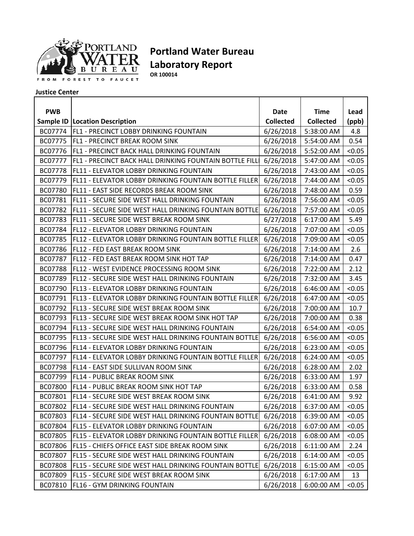

## **Portland Water Bureau Laboratory Report**

**OR 100014**

## **Justice Center**

| <b>PWB</b> |                                                        | Date             | <b>Time</b>      | Lead   |
|------------|--------------------------------------------------------|------------------|------------------|--------|
|            | <b>Sample ID   Location Description</b>                | <b>Collected</b> | <b>Collected</b> | (ppb)  |
| BC07774    | <b>FL1 - PRECINCT LOBBY DRINKING FOUNTAIN</b>          | 6/26/2018        | 5:38:00 AM       | 4.8    |
| BC07775    | FL1 - PRECINCT BREAK ROOM SINK                         | 6/26/2018        | 5:54:00 AM       | 0.54   |
| BC07776    | FL1 - PRECINCT BACK HALL DRINKING FOUNTAIN             | 6/26/2018        | 5:52:00 AM       | < 0.05 |
| BC07777    | FL1 - PRECINCT BACK HALL DRINKING FOUNTAIN BOTTLE FILL | 6/26/2018        | 5:47:00 AM       | < 0.05 |
| BC07778    | FL11 - ELEVATOR LOBBY DRINKING FOUNTAIN                | 6/26/2018        | 7:43:00 AM       | < 0.05 |
| BC07779    | FL11 - ELEVATOR LOBBY DRINKING FOUNTAIN BOTTLE FILLER  | 6/26/2018        | 7:44:00 AM       | < 0.05 |
| BC07780    | FL11 - EAST SIDE RECORDS BREAK ROOM SINK               | 6/26/2018        | 7:48:00 AM       | 0.59   |
| BC07781    | FL11 - SECURE SIDE WEST HALL DRINKING FOUNTAIN         | 6/26/2018        | 7:56:00 AM       | < 0.05 |
| BC07782    | FL11 - SECURE SIDE WEST HALL DRINKING FOUNTAIN BOTTLE  | 6/26/2018        | 7:57:00 AM       | < 0.05 |
| BC07783    | FL11 - SECURE SIDE WEST BREAK ROOM SINK                | 6/27/2018        | 6:17:00 AM       | 5.49   |
| BC07784    | FL12 - ELEVATOR LOBBY DRINKING FOUNTAIN                | 6/26/2018        | 7:07:00 AM       | < 0.05 |
| BC07785    | FL12 - ELEVATOR LOBBY DRINKING FOUNTAIN BOTTLE FILLER  | 6/26/2018        | 7:09:00 AM       | < 0.05 |
| BC07786    | FL12 - FED EAST BREAK ROOM SINK                        | 6/26/2018        | 7:14:00 AM       | 2.6    |
| BC07787    | FL12 - FED EAST BREAK ROOM SINK HOT TAP                | 6/26/2018        | 7:14:00 AM       | 0.47   |
| BC07788    | FL12 - WEST EVIDENCE PROCESSING ROOM SINK              | 6/26/2018        | 7:22:00 AM       | 2.12   |
| BC07789    | FL12 - SECURE SIDE WEST HALL DRINKING FOUNTAIN         | 6/26/2018        | 7:32:00 AM       | 3.45   |
| BC07790    | FL13 - ELEVATOR LOBBY DRINKING FOUNTAIN                | 6/26/2018        | 6:46:00 AM       | < 0.05 |
| BC07791    | FL13 - ELEVATOR LOBBY DRINKING FOUNTAIN BOTTLE FILLER  | 6/26/2018        | 6:47:00 AM       | < 0.05 |
| BC07792    | FL13 - SECURE SIDE WEST BREAK ROOM SINK                | 6/26/2018        | 7:00:00 AM       | 10.7   |
| BC07793    | FL13 - SECURE SIDE WEST BREAK ROOM SINK HOT TAP        | 6/26/2018        | 7:00:00 AM       | 0.38   |
| BC07794    | FL13 - SECURE SIDE WEST HALL DRINKING FOUNTAIN         | 6/26/2018        | 6:54:00 AM       | < 0.05 |
| BC07795    | FL13 - SECURE SIDE WEST HALL DRINKING FOUNTAIN BOTTLE  | 6/26/2018        | 6:56:00 AM       | < 0.05 |
| BC07796    | FL14 - ELEVATOR LOBBY DRINKING FOUNTAIN                | 6/26/2018        | 6:23:00 AM       | < 0.05 |
| BC07797    | FL14 - ELEVATOR LOBBY DRINKING FOUNTAIN BOTTLE FILLER  | 6/26/2018        | 6:24:00 AM       | < 0.05 |
| BC07798    | FL14 - EAST SIDE SULLIVAN ROOM SINK                    | 6/26/2018        | 6:28:00 AM       | 2.02   |
| BC07799    | FL14 - PUBLIC BREAK ROOM SINK                          | 6/26/2018        | 6:33:00 AM       | 1.97   |
| BC07800    | FL14 - PUBLIC BREAK ROOM SINK HOT TAP                  | 6/26/2018        | 6:33:00 AM       | 0.58   |
| BC07801    | FL14 - SECURE SIDE WEST BREAK ROOM SINK                | 6/26/2018        | 6:41:00 AM       | 9.92   |
| BC07802    | FL14 - SECURE SIDE WEST HALL DRINKING FOUNTAIN         | 6/26/2018        | 6:37:00 AM       | < 0.05 |
| BC07803    | FL14 - SECURE SIDE WEST HALL DRINKING FOUNTAIN BOTTLE  | 6/26/2018        | 6:39:00 AM       | < 0.05 |
| BC07804    | FL15 - ELEVATOR LOBBY DRINKING FOUNTAIN                | 6/26/2018        | 6:07:00 AM       | < 0.05 |
| BC07805    | FL15 - ELEVATOR LOBBY DRINKING FOUNTAIN BOTTLE FILLER  | 6/26/2018        | 6:08:00 AM       | < 0.05 |
| BC07806    | FL15 - CHIEFS OFFICE EAST SIDE BREAK ROOM SINK         | 6/26/2018        | 6:11:00 AM       | 2.24   |
| BC07807    | FL15 - SECURE SIDE WEST HALL DRINKING FOUNTAIN         | 6/26/2018        | 6:14:00 AM       | < 0.05 |
| BC07808    | FL15 - SECURE SIDE WEST HALL DRINKING FOUNTAIN BOTTLE  | 6/26/2018        | 6:15:00 AM       | < 0.05 |
| BC07809    | FL15 - SECURE SIDE WEST BREAK ROOM SINK                | 6/26/2018        | 6:17:00 AM       | 13     |
| BC07810    | FL16 - GYM DRINKING FOUNTAIN                           | 6/26/2018        | 6:00:00 AM       | < 0.05 |